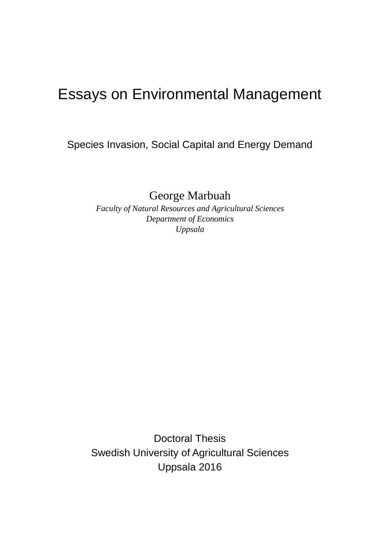# Essays on Environmental Management

Species Invasion, Social Capital and Energy Demand

George Marbuah

*Faculty of Natural Resources and Agricultural Sciences Department of Economics Uppsala*

Doctoral Thesis Swedish University of Agricultural Sciences Uppsala 2016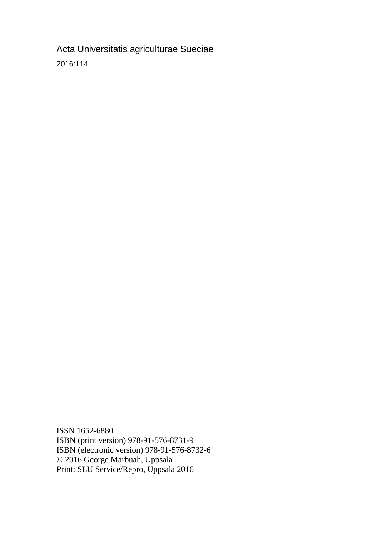Acta Universitatis agriculturae Sueciae 2016:114

ISSN 1652-6880 ISBN (print version) 978-91-576-8731-9 ISBN (electronic version) 978-91-576-8732-6 © 2016 George Marbuah, Uppsala Print: SLU Service/Repro, Uppsala 2016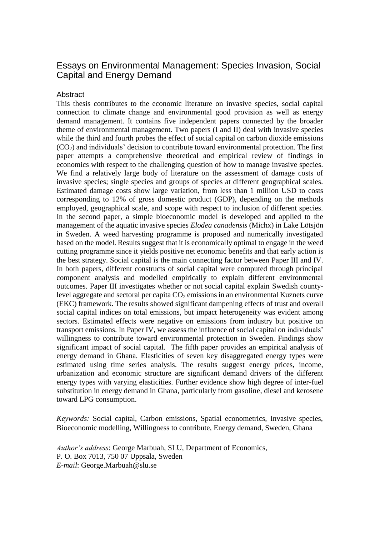#### Essays on Environmental Management: Species Invasion, Social Capital and Energy Demand

#### **Abstract**

This thesis contributes to the economic literature on invasive species, social capital connection to climate change and environmental good provision as well as energy demand management. It contains five independent papers connected by the broader theme of environmental management. Two papers (I and II) deal with invasive species while the third and fourth probes the effect of social capital on carbon dioxide emissions  $(CO<sub>2</sub>)$  and individuals' decision to contribute toward environmental protection. The first paper attempts a comprehensive theoretical and empirical review of findings in economics with respect to the challenging question of how to manage invasive species. We find a relatively large body of literature on the assessment of damage costs of invasive species; single species and groups of species at different geographical scales. Estimated damage costs show large variation, from less than 1 million USD to costs corresponding to 12% of gross domestic product (GDP), depending on the methods employed, geographical scale, and scope with respect to inclusion of different species. In the second paper, a simple bioeconomic model is developed and applied to the management of the aquatic invasive species *Elodea canadensis* (Michx) in Lake Lötsjön in Sweden. A weed harvesting programme is proposed and numerically investigated based on the model. Results suggest that it is economically optimal to engage in the weed cutting programme since it yields positive net economic benefits and that early action is the best strategy. Social capital is the main connecting factor between Paper III and IV. In both papers, different constructs of social capital were computed through principal component analysis and modelled empirically to explain different environmental outcomes. Paper III investigates whether or not social capital explain Swedish countylevel aggregate and sectoral per capita  $CO<sub>2</sub>$  emissions in an environmental Kuznets curve (EKC) framework. The results showed significant dampening effects of trust and overall social capital indices on total emissions, but impact heterogeneity was evident among sectors. Estimated effects were negative on emissions from industry but positive on transport emissions. In Paper IV, we assess the influence of social capital on individuals' willingness to contribute toward environmental protection in Sweden. Findings show significant impact of social capital. The fifth paper provides an empirical analysis of energy demand in Ghana. Elasticities of seven key disaggregated energy types were estimated using time series analysis. The results suggest energy prices, income, urbanization and economic structure are significant demand drivers of the different energy types with varying elasticities. Further evidence show high degree of inter-fuel substitution in energy demand in Ghana, particularly from gasoline, diesel and kerosene toward LPG consumption.

*Keywords:* Social capital, Carbon emissions, Spatial econometrics, Invasive species, Bioeconomic modelling, Willingness to contribute, Energy demand, Sweden, Ghana

*Author's address*: George Marbuah, SLU, Department of Economics, P. O. Box 7013, 750 07 Uppsala, Sweden *E-mail*: [George.Marbuah@slu.se](mailto:George.Marbuah@slu.se)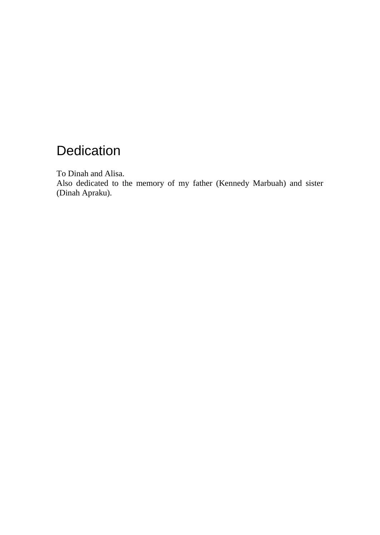# **Dedication**

To Dinah and Alisa.

Also dedicated to the memory of my father (Kennedy Marbuah) and sister (Dinah Apraku).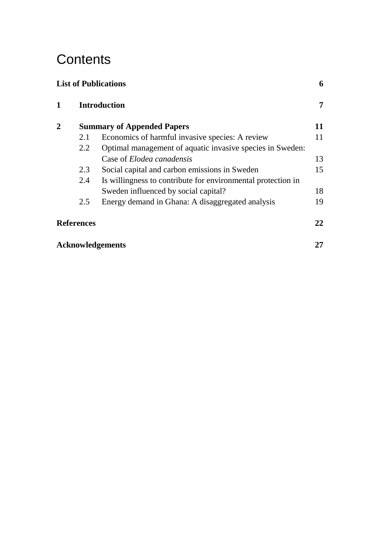# **Contents**

| <b>List of Publications</b> |                         |                                                              | 6  |  |
|-----------------------------|-------------------------|--------------------------------------------------------------|----|--|
| 1                           | <b>Introduction</b>     |                                                              | 7  |  |
| 2                           |                         | <b>Summary of Appended Papers</b>                            | 11 |  |
|                             | 2.1                     | Economics of harmful invasive species: A review              | 11 |  |
|                             | 2.2                     | Optimal management of aquatic invasive species in Sweden:    |    |  |
|                             |                         | Case of <i>Elodea canadensis</i>                             | 13 |  |
|                             | 2.3                     | Social capital and carbon emissions in Sweden                | 15 |  |
|                             | 2.4                     | Is willingness to contribute for environmental protection in |    |  |
|                             |                         | Sweden influenced by social capital?                         | 18 |  |
|                             | 2.5                     | Energy demand in Ghana: A disaggregated analysis             | 19 |  |
| <b>References</b>           |                         | 22                                                           |    |  |
|                             | <b>Acknowledgements</b> |                                                              |    |  |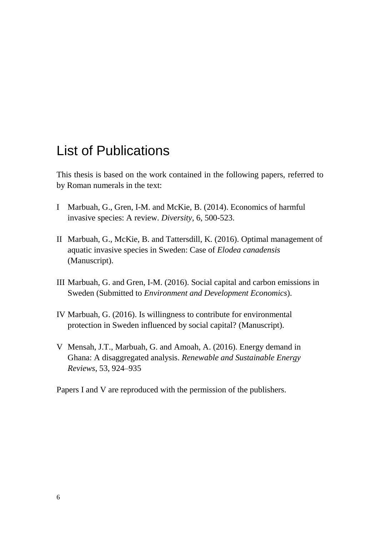## <span id="page-5-0"></span>List of Publications

This thesis is based on the work contained in the following papers, referred to by Roman numerals in the text:

- I Marbuah, G., Gren, I-M. and McKie, B. (2014). Economics of harmful invasive species: A review. *Diversity*, 6, 500-523.
- II Marbuah, G., McKie, B. and Tattersdill, K. (2016). Optimal management of aquatic invasive species in Sweden: Case of *Elodea canadensis*  (Manuscript).
- III Marbuah, G. and Gren, I-M. (2016). Social capital and carbon emissions in Sweden (Submitted to *Environment and Development Economics*).
- IV Marbuah, G. (2016). Is willingness to contribute for environmental protection in Sweden influenced by social capital? (Manuscript).
- V Mensah, J.T., Marbuah, G. and Amoah, A. (2016). Energy demand in Ghana: A disaggregated analysis. *Renewable and Sustainable Energy Reviews*, 53, 924–935

Papers I and V are reproduced with the permission of the publishers.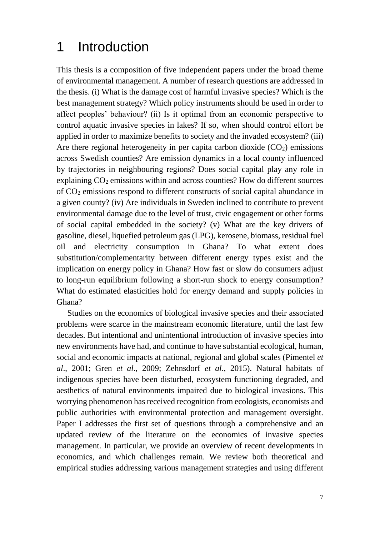## 1 Introduction

This thesis is a composition of five independent papers under the broad theme of environmental management. A number of research questions are addressed in the thesis. (i) What is the damage cost of harmful invasive species? Which is the best management strategy? Which policy instruments should be used in order to affect peoples' behaviour? (ii) Is it optimal from an economic perspective to control aquatic invasive species in lakes? If so, when should control effort be applied in order to maximize benefits to society and the invaded ecosystem? (iii) Are there regional heterogeneity in per capita carbon dioxide  $(CO<sub>2</sub>)$  emissions across Swedish counties? Are emission dynamics in a local county influenced by trajectories in neighbouring regions? Does social capital play any role in explaining  $CO<sub>2</sub>$  emissions within and across counties? How do different sources of CO<sup>2</sup> emissions respond to different constructs of social capital abundance in a given county? (iv) Are individuals in Sweden inclined to contribute to prevent environmental damage due to the level of trust, civic engagement or other forms of social capital embedded in the society? (v) What are the key drivers of gasoline, diesel, liquefied petroleum gas (LPG), kerosene, biomass, residual fuel oil and electricity consumption in Ghana? To what extent does substitution/complementarity between different energy types exist and the implication on energy policy in Ghana? How fast or slow do consumers adjust to long-run equilibrium following a short-run shock to energy consumption? What do estimated elasticities hold for energy demand and supply policies in Ghana?

Studies on the economics of biological invasive species and their associated problems were scarce in the mainstream economic literature, until the last few decades. But intentional and unintentional introduction of invasive species into new environments have had, and continue to have substantial ecological, human, social and economic impacts at national, regional and global scales (Pimentel *et al*., 2001; Gren *et al*., 2009; Zehnsdorf *et al*., 2015). Natural habitats of indigenous species have been disturbed, ecosystem functioning degraded, and aesthetics of natural environments impaired due to biological invasions. This worrying phenomenon has received recognition from ecologists, economists and public authorities with environmental protection and management oversight. Paper I addresses the first set of questions through a comprehensive and an updated review of the literature on the economics of invasive species management. In particular, we provide an overview of recent developments in economics, and which challenges remain. We review both theoretical and empirical studies addressing various management strategies and using different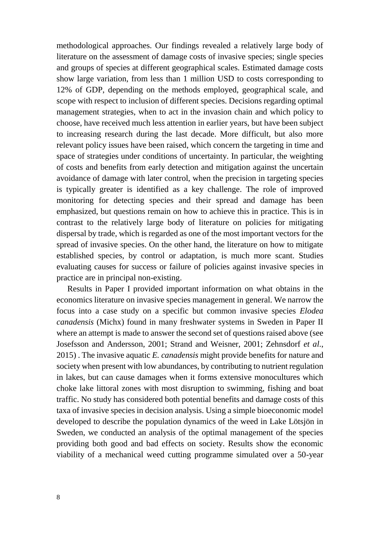methodological approaches. Our findings revealed a relatively large body of literature on the assessment of damage costs of invasive species; single species and groups of species at different geographical scales. Estimated damage costs show large variation, from less than 1 million USD to costs corresponding to 12% of GDP, depending on the methods employed, geographical scale, and scope with respect to inclusion of different species. Decisions regarding optimal management strategies, when to act in the invasion chain and which policy to choose, have received much less attention in earlier years, but have been subject to increasing research during the last decade. More difficult, but also more relevant policy issues have been raised, which concern the targeting in time and space of strategies under conditions of uncertainty. In particular, the weighting of costs and benefits from early detection and mitigation against the uncertain avoidance of damage with later control, when the precision in targeting species is typically greater is identified as a key challenge. The role of improved monitoring for detecting species and their spread and damage has been emphasized, but questions remain on how to achieve this in practice. This is in contrast to the relatively large body of literature on policies for mitigating dispersal by trade, which is regarded as one of the most important vectors for the spread of invasive species. On the other hand, the literature on how to mitigate established species, by control or adaptation, is much more scant. Studies evaluating causes for success or failure of policies against invasive species in practice are in principal non-existing.

Results in Paper I provided important information on what obtains in the economics literature on invasive species management in general. We narrow the focus into a case study on a specific but common invasive species *Elodea canadensis* (Michx) found in many freshwater systems in Sweden in Paper II where an attempt is made to answer the second set of questions raised above (see Josefsson and Andersson, 2001; Strand and Weisner, 2001; Zehnsdorf *et al*., 2015) . The invasive aquatic *E. canadensis* might provide benefits for nature and society when present with low abundances, by contributing to nutrient regulation in lakes, but can cause damages when it forms extensive monocultures which choke lake littoral zones with most disruption to swimming, fishing and boat traffic. No study has considered both potential benefits and damage costs of this taxa of invasive species in decision analysis. Using a simple bioeconomic model developed to describe the population dynamics of the weed in Lake Lötsjön in Sweden, we conducted an analysis of the optimal management of the species providing both good and bad effects on society. Results show the economic viability of a mechanical weed cutting programme simulated over a 50-year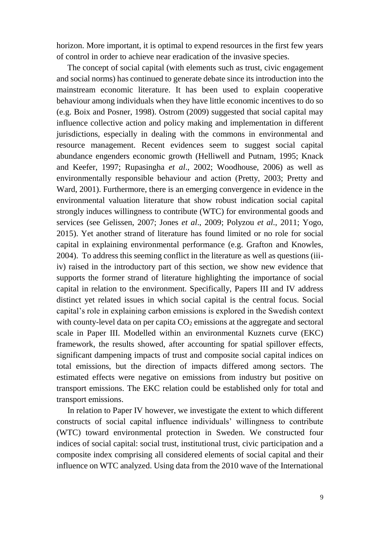horizon. More important, it is optimal to expend resources in the first few years of control in order to achieve near eradication of the invasive species.

The concept of social capital (with elements such as trust, civic engagement and social norms) has continued to generate debate since its introduction into the mainstream economic literature. It has been used to explain cooperative behaviour among individuals when they have little economic incentives to do so (e.g. Boix and Posner, 1998). Ostrom (2009) suggested that social capital may influence collective action and policy making and implementation in different jurisdictions, especially in dealing with the commons in environmental and resource management. Recent evidences seem to suggest social capital abundance engenders economic growth (Helliwell and Putnam, 1995; Knack and Keefer, 1997; Rupasingha *et al*., 2002; Woodhouse, 2006) as well as environmentally responsible behaviour and action (Pretty, 2003; Pretty and Ward, 2001). Furthermore, there is an emerging convergence in evidence in the environmental valuation literature that show robust indication social capital strongly induces willingness to contribute (WTC) for environmental goods and services (see Gelissen, 2007; Jones *et al*., 2009; Polyzou *et al*., 2011; Yogo, 2015). Yet another strand of literature has found limited or no role for social capital in explaining environmental performance (e.g. Grafton and Knowles, 2004). To address this seeming conflict in the literature as well as questions (iiiiv) raised in the introductory part of this section, we show new evidence that supports the former strand of literature highlighting the importance of social capital in relation to the environment. Specifically, Papers III and IV address distinct yet related issues in which social capital is the central focus. Social capital's role in explaining carbon emissions is explored in the Swedish context with county-level data on per capita  $CO<sub>2</sub>$  emissions at the aggregate and sectoral scale in Paper III. Modelled within an environmental Kuznets curve (EKC) framework, the results showed, after accounting for spatial spillover effects, significant dampening impacts of trust and composite social capital indices on total emissions, but the direction of impacts differed among sectors. The estimated effects were negative on emissions from industry but positive on transport emissions. The EKC relation could be established only for total and transport emissions.

In relation to Paper IV however, we investigate the extent to which different constructs of social capital influence individuals' willingness to contribute (WTC) toward environmental protection in Sweden. We constructed four indices of social capital: social trust, institutional trust, civic participation and a composite index comprising all considered elements of social capital and their influence on WTC analyzed. Using data from the 2010 wave of the International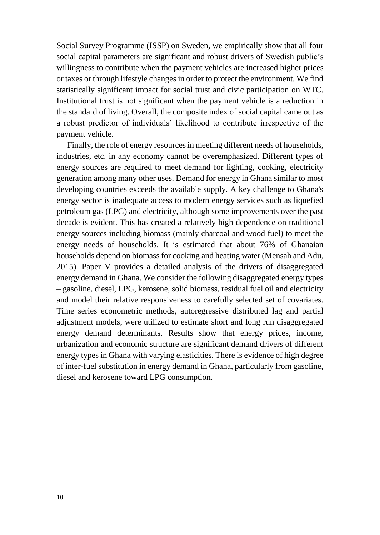Social Survey Programme (ISSP) on Sweden, we empirically show that all four social capital parameters are significant and robust drivers of Swedish public's willingness to contribute when the payment vehicles are increased higher prices or taxes or through lifestyle changes in order to protect the environment. We find statistically significant impact for social trust and civic participation on WTC. Institutional trust is not significant when the payment vehicle is a reduction in the standard of living. Overall, the composite index of social capital came out as a robust predictor of individuals' likelihood to contribute irrespective of the payment vehicle.

Finally, the role of energy resources in meeting different needs of households, industries, etc. in any economy cannot be overemphasized. Different types of energy sources are required to meet demand for lighting, cooking, electricity generation among many other uses. Demand for energy in Ghana similar to most developing countries exceeds the available supply. A key challenge to Ghana's energy sector is inadequate access to modern energy services such as liquefied petroleum gas (LPG) and electricity, although some improvements over the past decade is evident. This has created a relatively high dependence on traditional energy sources including biomass (mainly charcoal and wood fuel) to meet the energy needs of households. It is estimated that about 76% of Ghanaian households depend on biomass for cooking and heating water (Mensah and Adu, 2015). Paper V provides a detailed analysis of the drivers of disaggregated energy demand in Ghana. We consider the following disaggregated energy types – gasoline, diesel, LPG, kerosene, solid biomass, residual fuel oil and electricity and model their relative responsiveness to carefully selected set of covariates. Time series econometric methods, autoregressive distributed lag and partial adjustment models, were utilized to estimate short and long run disaggregated energy demand determinants. Results show that energy prices, income, urbanization and economic structure are significant demand drivers of different energy types in Ghana with varying elasticities. There is evidence of high degree of inter-fuel substitution in energy demand in Ghana, particularly from gasoline, diesel and kerosene toward LPG consumption.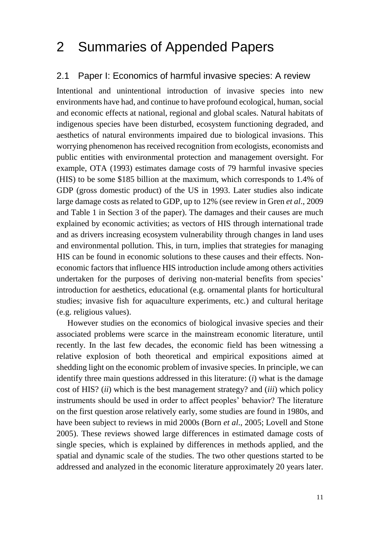## 2 Summaries of Appended Papers

#### 2.1 Paper I: Economics of harmful invasive species: A review

Intentional and unintentional introduction of invasive species into new environments have had, and continue to have profound ecological, human, social and economic effects at national, regional and global scales. Natural habitats of indigenous species have been disturbed, ecosystem functioning degraded, and aesthetics of natural environments impaired due to biological invasions. This worrying phenomenon has received recognition from ecologists, economists and public entities with environmental protection and management oversight. For example, OTA (1993) estimates damage costs of 79 harmful invasive species (HIS) to be some \$185 billion at the maximum, which corresponds to 1.4% of GDP (gross domestic product) of the US in 1993. Later studies also indicate large damage costs as related to GDP, up to 12% (see review in Gren *et al*., 2009 and Table 1 in Section 3 of the paper). The damages and their causes are much explained by economic activities; as vectors of HIS through international trade and as drivers increasing ecosystem vulnerability through changes in land uses and environmental pollution. This, in turn, implies that strategies for managing HIS can be found in economic solutions to these causes and their effects. Noneconomic factors that influence HIS introduction include among others activities undertaken for the purposes of deriving non-material benefits from species' introduction for aesthetics, educational (e.g. ornamental plants for horticultural studies; invasive fish for aquaculture experiments, etc*.*) and cultural heritage (e.g. religious values).

However studies on the economics of biological invasive species and their associated problems were scarce in the mainstream economic literature, until recently. In the last few decades, the economic field has been witnessing a relative explosion of both theoretical and empirical expositions aimed at shedding light on the economic problem of invasive species. In principle, we can identify three main questions addressed in this literature: (*i*) what is the damage cost of HIS? (*ii*) which is the best management strategy? and (*iii*) which policy instruments should be used in order to affect peoples' behavior? The literature on the first question arose relatively early, some studies are found in 1980s, and have been subject to reviews in mid 2000s (Born *et al*., 2005; Lovell and Stone 2005). These reviews showed large differences in estimated damage costs of single species, which is explained by differences in methods applied, and the spatial and dynamic scale of the studies. The two other questions started to be addressed and analyzed in the economic literature approximately 20 years later.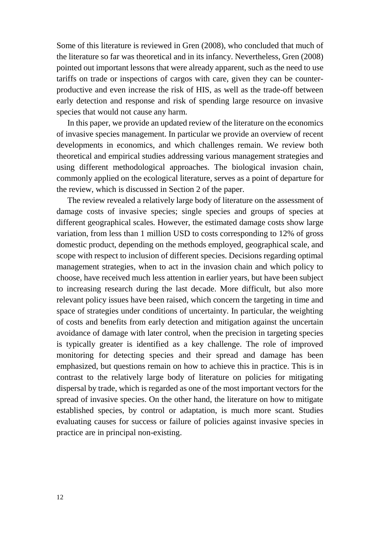Some of this literature is reviewed in Gren (2008), who concluded that much of the literature so far was theoretical and in its infancy. Nevertheless, Gren (2008) pointed out important lessons that were already apparent, such as the need to use tariffs on trade or inspections of cargos with care, given they can be counterproductive and even increase the risk of HIS, as well as the trade-off between early detection and response and risk of spending large resource on invasive species that would not cause any harm.

In this paper, we provide an updated review of the literature on the economics of invasive species management. In particular we provide an overview of recent developments in economics, and which challenges remain. We review both theoretical and empirical studies addressing various management strategies and using different methodological approaches. The biological invasion chain, commonly applied on the ecological literature, serves as a point of departure for the review, which is discussed in Section 2 of the paper.

The review revealed a relatively large body of literature on the assessment of damage costs of invasive species; single species and groups of species at different geographical scales. However, the estimated damage costs show large variation, from less than 1 million USD to costs corresponding to 12% of gross domestic product, depending on the methods employed, geographical scale, and scope with respect to inclusion of different species. Decisions regarding optimal management strategies, when to act in the invasion chain and which policy to choose, have received much less attention in earlier years, but have been subject to increasing research during the last decade. More difficult, but also more relevant policy issues have been raised, which concern the targeting in time and space of strategies under conditions of uncertainty. In particular, the weighting of costs and benefits from early detection and mitigation against the uncertain avoidance of damage with later control, when the precision in targeting species is typically greater is identified as a key challenge. The role of improved monitoring for detecting species and their spread and damage has been emphasized, but questions remain on how to achieve this in practice. This is in contrast to the relatively large body of literature on policies for mitigating dispersal by trade, which is regarded as one of the most important vectors for the spread of invasive species. On the other hand, the literature on how to mitigate established species, by control or adaptation, is much more scant. Studies evaluating causes for success or failure of policies against invasive species in practice are in principal non-existing.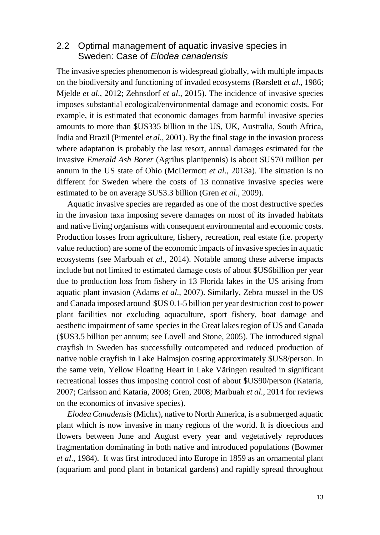#### 2.2 Optimal management of aquatic invasive species in Sweden: Case of *Elodea canadensis*

The invasive species phenomenon is widespread globally, with multiple impacts on the biodiversity and functioning of invaded ecosystems (Rørslett *et al*., 1986; Mjelde *et al*., 2012; Zehnsdorf *et al*., 2015). The incidence of invasive species imposes substantial ecological/environmental damage and economic costs. For example, it is estimated that economic damages from harmful invasive species amounts to more than \$US335 billion in the US, UK, Australia, South Africa, India and Brazil (Pimentel *et al*., 2001). By the final stage in the invasion process where adaptation is probably the last resort, annual damages estimated for the invasive *Emerald Ash Borer* (Agrilus planipennis) is about \$US70 million per annum in the US state of Ohio (McDermott *et al*., 2013a). The situation is no different for Sweden where the costs of 13 nonnative invasive species were estimated to be on average \$US3.3 billion (Gren *et al*., 2009).

Aquatic invasive species are regarded as one of the most destructive species in the invasion taxa imposing severe damages on most of its invaded habitats and native living organisms with consequent environmental and economic costs. Production losses from agriculture, fishery, recreation, real estate (i.e. property value reduction) are some of the economic impacts of invasive species in aquatic ecosystems (see Marbuah *et al*., 2014). Notable among these adverse impacts include but not limited to estimated damage costs of about \$US6billion per year due to production loss from fishery in 13 Florida lakes in the US arising from aquatic plant invasion (Adams *et al*., 2007). Similarly, Zebra mussel in the US and Canada imposed around \$US 0.1-5 billion per year destruction cost to power plant facilities not excluding aquaculture, sport fishery, boat damage and aesthetic impairment of same species in the Great lakes region of US and Canada (\$US3.5 billion per annum; see Lovell and Stone, 2005). The introduced signal crayfish in Sweden has successfully outcompeted and reduced production of native noble crayfish in Lake Halmsjon costing approximately \$US8/person. In the same vein, Yellow Floating Heart in Lake Väringen resulted in significant recreational losses thus imposing control cost of about \$US90/person (Kataria, 2007; Carlsson and Kataria, 2008; Gren, 2008; Marbuah *et al*., 2014 for reviews on the economics of invasive species).

*Elodea Canadensis*(Michx), native to North America, is a submerged aquatic plant which is now invasive in many regions of the world. It is dioecious and flowers between June and August every year and vegetatively reproduces fragmentation dominating in both native and introduced populations (Bowmer *et al*., 1984). It was first introduced into Europe in 1859 as an ornamental plant (aquarium and pond plant in botanical gardens) and rapidly spread throughout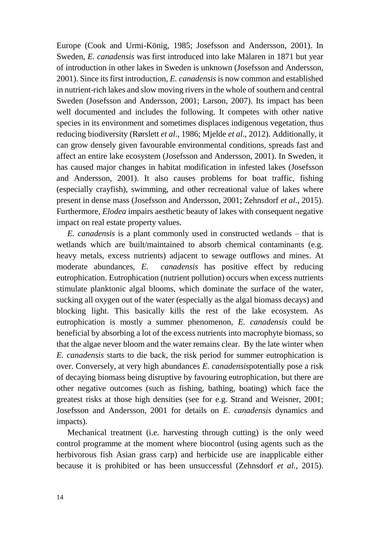Europe (Cook and Urmi-König, 1985; Josefsson and Andersson, 2001). In Sweden, *E. canadensis* was first introduced into lake Mälaren in 1871 but year of introduction in other lakes in Sweden is unknown (Josefsson and Andersson, 2001). Since its first introduction, *E. canadensis* is now common and established in nutrient-rich lakes and slow moving rivers in the whole of southern and central Sweden (Josefsson and Andersson, 2001; Larson, 2007). Its impact has been well documented and includes the following. It competes with other native species in its environment and sometimes displaces indigenous vegetation, thus reducing biodiversity (Rørslett *et al*., 1986; Mjelde *et al*., 2012). Additionally, it can grow densely given favourable environmental conditions, spreads fast and affect an entire lake ecosystem (Josefsson and Andersson, 2001). In Sweden, it has caused major changes in habitat modification in infested lakes (Josefsson and Andersson, 2001). It also causes problems for boat traffic, fishing (especially crayfish), swimming, and other recreational value of lakes where present in dense mass (Josefsson and Andersson, 2001; Zehnsdorf *et al*., 2015). Furthermore, *Elodea* impairs aesthetic beauty of lakes with consequent negative impact on real estate property values.

*E. canadensis* is a plant commonly used in constructed wetlands – that is wetlands which are built/maintained to absorb chemical contaminants (e.g. heavy metals, excess nutrients) adjacent to sewage outflows and mines. At moderate abundances, *E. canadensis* has positive effect by reducing eutrophication. Eutrophication (nutrient pollution) occurs when excess nutrients stimulate planktonic algal blooms, which dominate the surface of the water, sucking all oxygen out of the water (especially as the algal biomass decays) and blocking light. This basically kills the rest of the lake ecosystem. As eutrophication is mostly a summer phenomenon, *E. canadensis* could be beneficial by absorbing a lot of the excess nutrients into macrophyte biomass, so that the algae never bloom and the water remains clear. By the late winter when *E. canadensis* starts to die back, the risk period for summer eutrophication is over. Conversely, at very high abundances *E. canadensis*potentially pose a risk of decaying biomass being disruptive by favouring eutrophication, but there are other negative outcomes (such as fishing, bathing, boating) which face the greatest risks at those high densities (see for e.g. Strand and Weisner, 2001; Josefsson and Andersson, 2001 for details on *E. canadensis* dynamics and impacts).

Mechanical treatment (i.e. harvesting through cutting) is the only weed control programme at the moment where biocontrol (using agents such as the herbivorous fish Asian grass carp) and herbicide use are inapplicable either because it is prohibited or has been unsuccessful (Zehnsdorf *et al*., 2015).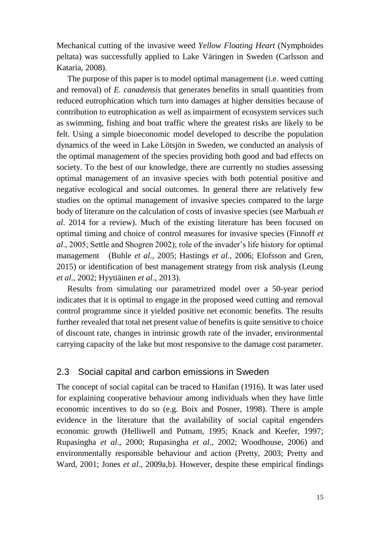Mechanical cutting of the invasive weed *Yellow Floating Heart* (Nymphoides peltata) was successfully applied to Lake Väringen in Sweden (Carlsson and Kataria, 2008).

The purpose of this paper is to model optimal management (i.e. weed cutting and removal) of *E. canadensis* that generates benefits in small quantities from reduced eutrophication which turn into damages at higher densities because of contribution to eutrophication as well as impairment of ecosystem services such as swimming, fishing and boat traffic where the greatest risks are likely to be felt. Using a simple bioeconomic model developed to describe the population dynamics of the weed in Lake Lötsjön in Sweden, we conducted an analysis of the optimal management of the species providing both good and bad effects on society. To the best of our knowledge, there are currently no studies assessing optimal management of an invasive species with both potential positive and negative ecological and social outcomes. In general there are relatively few studies on the optimal management of invasive species compared to the large body of literature on the calculation of costs of invasive species (see Marbuah *et al*. 2014 for a review). Much of the existing literature has been focused on optimal timing and choice of control measures for invasive species (Finnoff *et al*., 2005; Settle and Shogren 2002); role of the invader's life history for optimal management (Buhle *et al*., 2005; Hastings *et al*., 2006; Elofsson and Gren, 2015) or identification of best management strategy from risk analysis (Leung *et al*., 2002; Hyytiäinen *et al*., 2013).

Results from simulating our parametrized model over a 50-year period indicates that it is optimal to engage in the proposed weed cutting and removal control programme since it yielded positive net economic benefits. The results further revealed that total net present value of benefits is quite sensitive to choice of discount rate, changes in intrinsic growth rate of the invader, environmental carrying capacity of the lake but most responsive to the damage cost parameter.

#### 2.3 Social capital and carbon emissions in Sweden

The concept of social capital can be traced to Hanifan (1916). It was later used for explaining cooperative behaviour among individuals when they have little economic incentives to do so (e.g. Boix and Posner, 1998). There is ample evidence in the literature that the availability of social capital engenders economic growth (Helliwell and Putnam, 1995; Knack and Keefer, 1997; Rupasingha *et al*., 2000; Rupasingha *et al*., 2002; Woodhouse, 2006) and environmentally responsible behaviour and action (Pretty, 2003; Pretty and Ward, 2001; Jones *et al*., 2009a,b). However, despite these empirical findings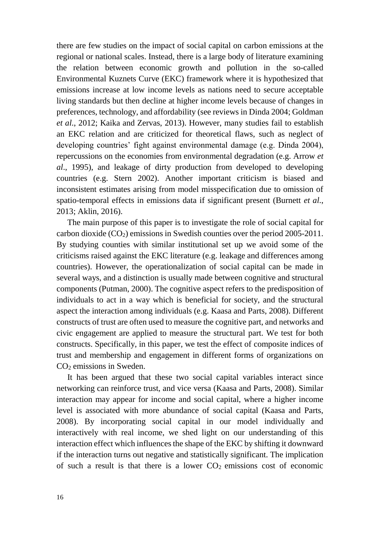there are few studies on the impact of social capital on carbon emissions at the regional or national scales. Instead, there is a large body of literature examining the relation between economic growth and pollution in the so-called Environmental Kuznets Curve (EKC) framework where it is hypothesized that emissions increase at low income levels as nations need to secure acceptable living standards but then decline at higher income levels because of changes in preferences, technology, and affordability (see reviews in Dinda 2004; Goldman *et al*., 2012; Kaika and Zervas, 2013). However, many studies fail to establish an EKC relation and are criticized for theoretical flaws, such as neglect of developing countries' fight against environmental damage (e.g. Dinda 2004), repercussions on the economies from environmental degradation (e.g. Arrow *et al*., 1995), and leakage of dirty production from developed to developing countries (e.g. Stern 2002). Another important criticism is biased and inconsistent estimates arising from model misspecification due to omission of spatio-temporal effects in emissions data if significant present (Burnett *et al*., 2013; Aklin, 2016).

The main purpose of this paper is to investigate the role of social capital for carbon dioxide  $(CO_2)$  emissions in Swedish counties over the period 2005-2011. By studying counties with similar institutional set up we avoid some of the criticisms raised against the EKC literature (e.g. leakage and differences among countries). However, the operationalization of social capital can be made in several ways, and a distinction is usually made between cognitive and structural components (Putman, 2000). The cognitive aspect refers to the predisposition of individuals to act in a way which is beneficial for society, and the structural aspect the interaction among individuals (e.g. Kaasa and Parts, 2008). Different constructs of trust are often used to measure the cognitive part, and networks and civic engagement are applied to measure the structural part. We test for both constructs. Specifically, in this paper, we test the effect of composite indices of trust and membership and engagement in different forms of organizations on CO<sup>2</sup> emissions in Sweden.

It has been argued that these two social capital variables interact since networking can reinforce trust, and vice versa (Kaasa and Parts, 2008). Similar interaction may appear for income and social capital, where a higher income level is associated with more abundance of social capital (Kaasa and Parts, 2008). By incorporating social capital in our model individually and interactively with real income, we shed light on our understanding of this interaction effect which influences the shape of the EKC by shifting it downward if the interaction turns out negative and statistically significant. The implication of such a result is that there is a lower  $CO<sub>2</sub>$  emissions cost of economic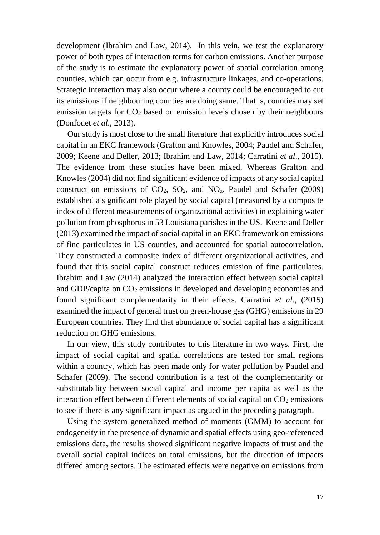development (Ibrahim and Law, 2014). In this vein, we test the explanatory power of both types of interaction terms for carbon emissions. Another purpose of the study is to estimate the explanatory power of spatial correlation among counties, which can occur from e.g. infrastructure linkages, and co-operations. Strategic interaction may also occur where a county could be encouraged to cut its emissions if neighbouring counties are doing same. That is, counties may set emission targets for  $CO<sub>2</sub>$  based on emission levels chosen by their neighbours (Donfouet *et al*., 2013).

Our study is most close to the small literature that explicitly introduces social capital in an EKC framework (Grafton and Knowles, 2004; Paudel and Schafer, 2009; Keene and Deller, 2013; Ibrahim and Law, 2014; Carratini *et al*., 2015). The evidence from these studies have been mixed. Whereas Grafton and Knowles (2004) did not find significant evidence of impacts of any social capital construct on emissions of  $CO<sub>2</sub>$ ,  $SO<sub>2</sub>$ , and  $NO<sub>x</sub>$ , Paudel and Schafer (2009) established a significant role played by social capital (measured by a composite index of different measurements of organizational activities) in explaining water pollution from phosphorus in 53 Louisiana parishes in the US. Keene and Deller (2013) examined the impact of social capital in an EKC framework on emissions of fine particulates in US counties, and accounted for spatial autocorrelation. They constructed a composite index of different organizational activities, and found that this social capital construct reduces emission of fine particulates. Ibrahim and Law (2014) analyzed the interaction effect between social capital and GDP/capita on  $CO<sub>2</sub>$  emissions in developed and developing economies and found significant complementarity in their effects. Carratini *et al*., (2015) examined the impact of general trust on green-house gas (GHG) emissions in 29 European countries. They find that abundance of social capital has a significant reduction on GHG emissions.

In our view, this study contributes to this literature in two ways. First, the impact of social capital and spatial correlations are tested for small regions within a country, which has been made only for water pollution by Paudel and Schafer (2009). The second contribution is a test of the complementarity or substitutability between social capital and income per capita as well as the interaction effect between different elements of social capital on  $CO<sub>2</sub>$  emissions to see if there is any significant impact as argued in the preceding paragraph.

Using the system generalized method of moments (GMM) to account for endogeneity in the presence of dynamic and spatial effects using geo-referenced emissions data, the results showed significant negative impacts of trust and the overall social capital indices on total emissions, but the direction of impacts differed among sectors. The estimated effects were negative on emissions from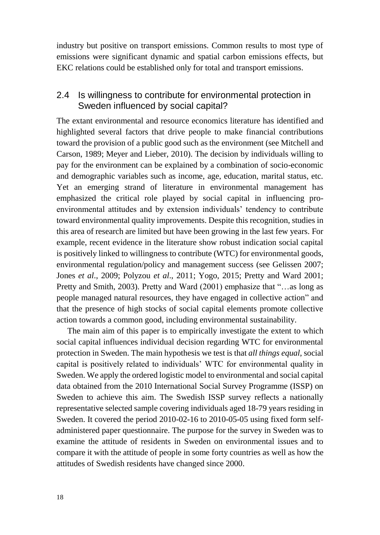industry but positive on transport emissions. Common results to most type of emissions were significant dynamic and spatial carbon emissions effects, but EKC relations could be established only for total and transport emissions.

#### 2.4 Is willingness to contribute for environmental protection in Sweden influenced by social capital?

The extant environmental and resource economics literature has identified and highlighted several factors that drive people to make financial contributions toward the provision of a public good such as the environment (see Mitchell and Carson, 1989; Meyer and Lieber, 2010). The decision by individuals willing to pay for the environment can be explained by a combination of socio-economic and demographic variables such as income, age, education, marital status, etc. Yet an emerging strand of literature in environmental management has emphasized the critical role played by social capital in influencing proenvironmental attitudes and by extension individuals' tendency to contribute toward environmental quality improvements. Despite this recognition, studies in this area of research are limited but have been growing in the last few years. For example, recent evidence in the literature show robust indication social capital is positively linked to willingness to contribute (WTC) for environmental goods, environmental regulation/policy and management success (see Gelissen 2007; Jones *et al*., 2009; Polyzou *et al*., 2011; Yogo, 2015; Pretty and Ward 2001; Pretty and Smith, 2003). Pretty and Ward (2001) emphasize that "…as long as people managed natural resources, they have engaged in collective action" and that the presence of high stocks of social capital elements promote collective action towards a common good, including environmental sustainability.

The main aim of this paper is to empirically investigate the extent to which social capital influences individual decision regarding WTC for environmental protection in Sweden. The main hypothesis we test is that *all things equal*, social capital is positively related to individuals' WTC for environmental quality in Sweden. We apply the ordered logistic model to environmental and social capital data obtained from the 2010 International Social Survey Programme (ISSP) on Sweden to achieve this aim. The Swedish ISSP survey reflects a nationally representative selected sample covering individuals aged 18-79 years residing in Sweden. It covered the period 2010-02-16 to 2010-05-05 using fixed form selfadministered paper questionnaire. The purpose for the survey in Sweden was to examine the attitude of residents in Sweden on environmental issues and to compare it with the attitude of people in some forty countries as well as how the attitudes of Swedish residents have changed since 2000.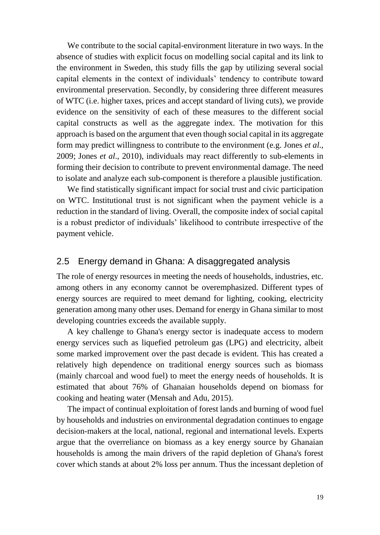We contribute to the social capital-environment literature in two ways. In the absence of studies with explicit focus on modelling social capital and its link to the environment in Sweden, this study fills the gap by utilizing several social capital elements in the context of individuals' tendency to contribute toward environmental preservation. Secondly, by considering three different measures of WTC (i.e. higher taxes, prices and accept standard of living cuts), we provide evidence on the sensitivity of each of these measures to the different social capital constructs as well as the aggregate index. The motivation for this approach is based on the argument that even though social capital in its aggregate form may predict willingness to contribute to the environment (e.g. Jones *et al*., 2009; Jones *et al*., 2010), individuals may react differently to sub-elements in forming their decision to contribute to prevent environmental damage. The need to isolate and analyze each sub-component is therefore a plausible justification.

We find statistically significant impact for social trust and civic participation on WTC. Institutional trust is not significant when the payment vehicle is a reduction in the standard of living. Overall, the composite index of social capital is a robust predictor of individuals' likelihood to contribute irrespective of the payment vehicle.

#### 2.5 Energy demand in Ghana: A disaggregated analysis

The role of energy resources in meeting the needs of households, industries, etc. among others in any economy cannot be overemphasized. Different types of energy sources are required to meet demand for lighting, cooking, electricity generation among many other uses. Demand for energy in Ghana similar to most developing countries exceeds the available supply.

A key challenge to Ghana's energy sector is inadequate access to modern energy services such as liquefied petroleum gas (LPG) and electricity, albeit some marked improvement over the past decade is evident. This has created a relatively high dependence on traditional energy sources such as biomass (mainly charcoal and wood fuel) to meet the energy needs of households. It is estimated that about 76% of Ghanaian households depend on biomass for cooking and heating water (Mensah and Adu, 2015).

The impact of continual exploitation of forest lands and burning of wood fuel by households and industries on environmental degradation continues to engage decision-makers at the local, national, regional and international levels. Experts argue that the overreliance on biomass as a key energy source by Ghanaian households is among the main drivers of the rapid depletion of Ghana's forest cover which stands at about 2% loss per annum. Thus the incessant depletion of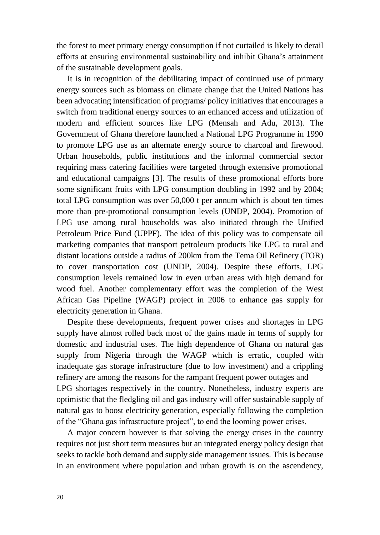the forest to meet primary energy consumption if not curtailed is likely to derail efforts at ensuring environmental sustainability and inhibit Ghana's attainment of the sustainable development goals.

It is in recognition of the debilitating impact of continued use of primary energy sources such as biomass on climate change that the United Nations has been advocating intensification of programs/ policy initiatives that encourages a switch from traditional energy sources to an enhanced access and utilization of modern and efficient sources like LPG (Mensah and Adu, 2013). The Government of Ghana therefore launched a National LPG Programme in 1990 to promote LPG use as an alternate energy source to charcoal and firewood. Urban households, public institutions and the informal commercial sector requiring mass catering facilities were targeted through extensive promotional and educational campaigns [3]. The results of these promotional efforts bore some significant fruits with LPG consumption doubling in 1992 and by 2004; total LPG consumption was over 50,000 t per annum which is about ten times more than pre-promotional consumption levels (UNDP, 2004). Promotion of LPG use among rural households was also initiated through the Unified Petroleum Price Fund (UPPF). The idea of this policy was to compensate oil marketing companies that transport petroleum products like LPG to rural and distant locations outside a radius of 200km from the Tema Oil Refinery (TOR) to cover transportation cost (UNDP, 2004). Despite these efforts, LPG consumption levels remained low in even urban areas with high demand for wood fuel. Another complementary effort was the completion of the West African Gas Pipeline (WAGP) project in 2006 to enhance gas supply for electricity generation in Ghana.

Despite these developments, frequent power crises and shortages in LPG supply have almost rolled back most of the gains made in terms of supply for domestic and industrial uses. The high dependence of Ghana on natural gas supply from Nigeria through the WAGP which is erratic, coupled with inadequate gas storage infrastructure (due to low investment) and a crippling refinery are among the reasons for the rampant frequent power outages and LPG shortages respectively in the country. Nonetheless, industry experts are optimistic that the fledgling oil and gas industry will offer sustainable supply of natural gas to boost electricity generation, especially following the completion of the "Ghana gas infrastructure project", to end the looming power crises.

A major concern however is that solving the energy crises in the country requires not just short term measures but an integrated energy policy design that seeks to tackle both demand and supply side management issues. This is because in an environment where population and urban growth is on the ascendency,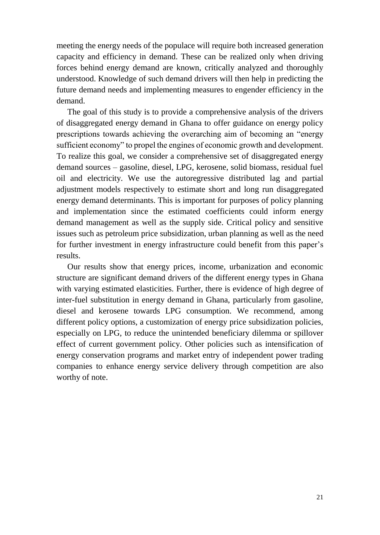meeting the energy needs of the populace will require both increased generation capacity and efficiency in demand. These can be realized only when driving forces behind energy demand are known, critically analyzed and thoroughly understood. Knowledge of such demand drivers will then help in predicting the future demand needs and implementing measures to engender efficiency in the demand.

The goal of this study is to provide a comprehensive analysis of the drivers of disaggregated energy demand in Ghana to offer guidance on energy policy prescriptions towards achieving the overarching aim of becoming an "energy sufficient economy" to propel the engines of economic growth and development. To realize this goal, we consider a comprehensive set of disaggregated energy demand sources – gasoline, diesel, LPG, kerosene, solid biomass, residual fuel oil and electricity. We use the autoregressive distributed lag and partial adjustment models respectively to estimate short and long run disaggregated energy demand determinants. This is important for purposes of policy planning and implementation since the estimated coefficients could inform energy demand management as well as the supply side. Critical policy and sensitive issues such as petroleum price subsidization, urban planning as well as the need for further investment in energy infrastructure could benefit from this paper's results.

Our results show that energy prices, income, urbanization and economic structure are significant demand drivers of the different energy types in Ghana with varying estimated elasticities. Further, there is evidence of high degree of inter-fuel substitution in energy demand in Ghana, particularly from gasoline, diesel and kerosene towards LPG consumption. We recommend, among different policy options, a customization of energy price subsidization policies, especially on LPG, to reduce the unintended beneficiary dilemma or spillover effect of current government policy. Other policies such as intensification of energy conservation programs and market entry of independent power trading companies to enhance energy service delivery through competition are also worthy of note.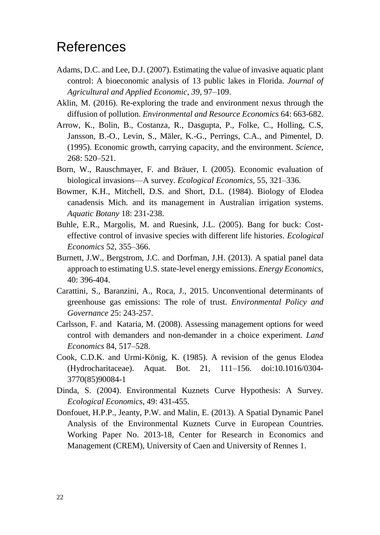### <span id="page-21-0"></span>References

- Adams, D.C. and Lee, D.J. (2007). Estimating the value of invasive aquatic plant control: A bioeconomic analysis of 13 public lakes in Florida. *Journal of Agricultural and Applied Economic*, *39*, 97–109.
- Aklin, M. (2016). Re-exploring the trade and environment nexus through the diffusion of pollution. *Environmental and Resource Economics* 64: 663-682.
- Arrow, K., Bolin, B., Costanza, R., Dasgupta, P., Folke, C., Holling, C.S, Jansson, B.-O., Levin, S., Mäler, K.-G., Perrings, C.A., and Pimentel, D. (1995). Economic growth, carrying capacity, and the environment. *Science*, 268: 520–521.
- Born, W., Rauschmayer, F. and Bräuer, I. (2005). Economic evaluation of biological invasions—A survey. *Ecological Economics*, 55, 321–336.
- Bowmer, K.H., Mitchell, D.S. and Short, D.L. (1984). Biology of Elodea canadensis Mich. and its management in Australian irrigation systems. *Aquatic Botany* 18: 231-238.
- Buhle, E.R., Margolis, M. and Ruesink, J.L. (2005). Bang for buck: Costeffective control of invasive species with different life histories. *Ecological Economics* 52, 355–366.
- Burnett, J.W., Bergstrom, J.C. and Dorfman, J.H. (2013). A spatial panel data approach to estimating U.S. state-level energy emissions. *Energy Economics*, 40: 396-404.
- Carattini, S., Baranzini, A., Roca, J., 2015. Unconventional determinants of greenhouse gas emissions: The role of trust. *Environmental Policy and Governance* 25: 243-257.
- Carlsson, F. and Kataria, M. (2008). Assessing management options for weed control with demanders and non-demander in a choice experiment. *Land Economics* 84, 517–528.
- Cook, C.D.K. and Urmi-König, K. (1985). A revision of the genus Elodea (Hydrocharitaceae). Aquat. Bot. 21, 111–156. doi:10.1016/0304- 3770(85)90084-1
- Dinda, S. (2004). Environmental Kuznets Curve Hypothesis: A Survey. *Ecological Economics*, 49: 431-455.
- Donfouet, H.P.P., Jeanty, P.W. and Malin, E. (2013). A Spatial Dynamic Panel Analysis of the Environmental Kuznets Curve in European Countries. Working Paper No. 2013-18, Center for Research in Economics and Management (CREM), University of Caen and University of Rennes 1.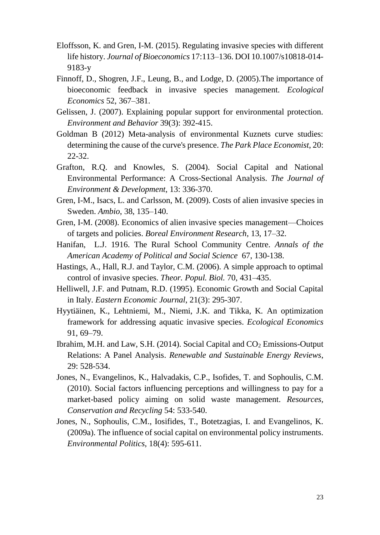- Eloffsson, K. and Gren, I-M. (2015). Regulating invasive species with different life history. *Journal of Bioeconomics* 17:113–136. DOI 10.1007/s10818-014- 9183-y
- Finnoff, D., Shogren, J.F., Leung, B., and Lodge, D. (2005).The importance of bioeconomic feedback in invasive species management. *Ecological Economics* 52, 367–381.
- Gelissen, J. (2007). Explaining popular support for environmental protection. *Environment and Behavior* 39(3): 392-415.
- Goldman B (2012) Meta-analysis of environmental Kuznets curve studies: determining the cause of the curve's presence. *The Park Place Economist*, 20: 22-32.
- Grafton, R.Q. and Knowles, S. (2004). Social Capital and National Environmental Performance: A Cross-Sectional Analysis. *The Journal of Environment & Development*, 13: 336-370.
- Gren, I-M., Isacs, L. and Carlsson, M. (2009). Costs of alien invasive species in Sweden. *Ambio*, 38, 135–140.
- Gren, I-M. (2008). Economics of alien invasive species management—Choices of targets and policies. *Boreal Environment Research*, 13, 17–32.
- Hanifan, L.J. 1916. The Rural School Community Centre. *Annals of the American Academy of Political and Social Science* 67, 130-138.
- Hastings, A., Hall, R.J. and Taylor, C.M. (2006). A simple approach to optimal control of invasive species. *Theor. Popul. Biol.* 70, 431–435.
- Helliwell, J.F. and Putnam, R.D. (1995). Economic Growth and Social Capital in Italy. *Eastern Economic Journal*, 21(3): 295-307.
- Hyytiäinen, K., Lehtniemi, M., Niemi, J.K. and Tikka, K. An optimization framework for addressing aquatic invasive species. *Ecological Economics* 91, 69–79.
- Ibrahim, M.H. and Law, S.H. (2014). Social Capital and  $CO<sub>2</sub>$  Emissions-Output Relations: A Panel Analysis. *Renewable and Sustainable Energy Reviews*, 29: 528-534.
- Jones, N., Evangelinos, K., Halvadakis, C.P., Isofides, T. and Sophoulis, C.M. (2010). Social factors influencing perceptions and willingness to pay for a market-based policy aiming on solid waste management. *Resources, Conservation and Recycling* 54: 533-540.
- Jones, N., Sophoulis, C.M., Iosifides, T., Botetzagias, I. and Evangelinos, K. (2009a). The influence of social capital on environmental policy instruments. *Environmental Politics*, 18(4): 595-611.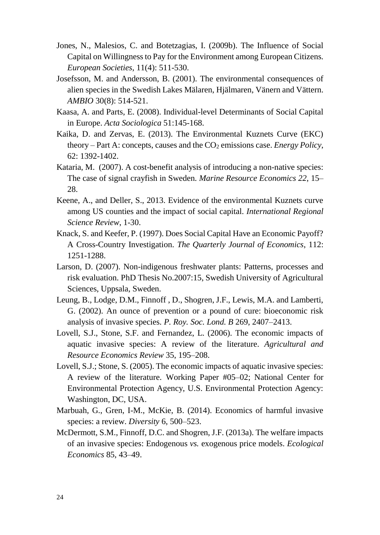- Jones, N., Malesios, C. and Botetzagias, I. (2009b). The Influence of Social Capital on Willingness to Pay for the Environment among European Citizens. *European Societies*, 11(4): 511-530.
- Josefsson, M. and Andersson, B. (2001). The environmental consequences of alien species in the Swedish Lakes Mälaren, Hjälmaren, Vänern and Vättern. *AMBIO* 30(8): 514-521.
- Kaasa, A. and Parts, E. (2008). Individual-level Determinants of Social Capital in Europe. *Acta Sociologica* 51:145-168.
- Kaika, D. and Zervas, E. (2013). The Environmental Kuznets Curve (EKC) theory – Part A: concepts, causes and the  $CO<sub>2</sub>$  emissions case. *Energy Policy*, 62: 1392-1402.
- Kataria, M. (2007). A cost-benefit analysis of introducing a non-native species: The case of signal crayfish in Sweden. *Marine Resource Economics 22*, 15– 28.
- Keene, A., and Deller, S., 2013. Evidence of the environmental Kuznets curve among US counties and the impact of social capital. *International Regional Science Review*, 1-30.
- Knack, S. and Keefer, P. (1997). Does Social Capital Have an Economic Payoff? A Cross-Country Investigation. *The Quarterly Journal of Economics*, 112: 1251-1288.
- Larson, D. (2007). Non-indigenous freshwater plants: Patterns, processes and risk evaluation. PhD Thesis No.2007:15, Swedish University of Agricultural Sciences, Uppsala, Sweden.
- Leung, B., Lodge, D.M., Finnoff , D., Shogren, J.F., Lewis, M.A. and Lamberti, G. (2002). An ounce of prevention or a pound of cure: bioeconomic risk analysis of invasive species. *P. Roy. Soc. Lond. B* 269, 2407–2413.
- Lovell, S.J., Stone, S.F. and Fernandez, L. (2006). The economic impacts of aquatic invasive species: A review of the literature. *Agricultural and Resource Economics Review* 35, 195–208.
- Lovell, S.J.; Stone, S. (2005). The economic impacts of aquatic invasive species: A review of the literature. Working Paper #05–02; National Center for Environmental Protection Agency, U.S. Environmental Protection Agency: Washington, DC, USA.
- Marbuah, G., Gren, I-M., McKie, B. (2014). Economics of harmful invasive species: a review. *Diversity* 6, 500–523.
- McDermott, S.M., Finnoff, D.C. and Shogren, J.F. (2013a). The welfare impacts of an invasive species: Endogenous *vs.* exogenous price models. *Ecological Economics* 85, 43–49.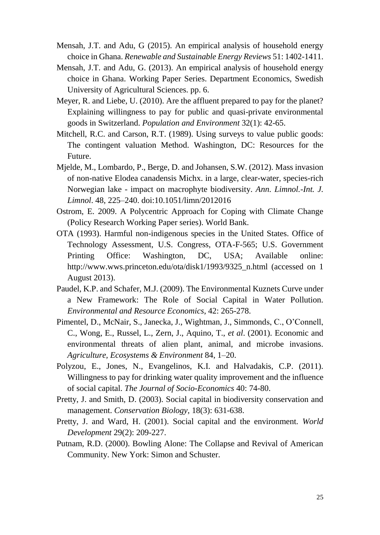- Mensah, J.T. and Adu, G (2015). An empirical analysis of household energy choice in Ghana. *Renewable and Sustainable Energy Reviews* 51: 1402-1411.
- Mensah, J.T. and Adu, G. (2013). An empirical analysis of household energy choice in Ghana. Working Paper Series. Department Economics, Swedish University of Agricultural Sciences. pp. 6.
- Meyer, R. and Liebe, U. (2010). Are the affluent prepared to pay for the planet? Explaining willingness to pay for public and quasi-private environmental goods in Switzerland. *Population and Environment* 32(1): 42-65.
- Mitchell, R.C. and Carson, R.T. (1989). Using surveys to value public goods: The contingent valuation Method. Washington, DC: Resources for the Future.
- Mjelde, M., Lombardo, P., Berge, D. and Johansen, S.W. (2012). Mass invasion of non-native Elodea canadensis Michx. in a large, clear-water, species-rich Norwegian lake - impact on macrophyte biodiversity. *Ann. Limnol.-Int. J. Limnol*. 48, 225–240. doi:10.1051/limn/2012016
- Ostrom, E. 2009. A Polycentric Approach for Coping with Climate Change (Policy Research Working Paper series). World Bank.
- OTA (1993). Harmful non-indigenous species in the United States. Office of Technology Assessment, U.S. Congress, OTA-F-565; U.S. Government Printing Office: Washington, DC, USA; Available online: http://www.wws.princeton.edu/ota/disk1/1993/9325\_n.html (accessed on 1 August 2013).
- Paudel, K.P. and Schafer, M.J. (2009). The Environmental Kuznets Curve under a New Framework: The Role of Social Capital in Water Pollution. *Environmental and Resource Economics*, 42: 265-278.
- Pimentel, D., McNair, S., Janecka, J., Wightman, J., Simmonds, C., O'Connell, C., Wong, E., Russel, L., Zern, J., Aquino, T., *et al*. (2001). Economic and environmental threats of alien plant, animal, and microbe invasions. *[Agriculture, Ecosystems & Environment](http://www.sciencedirect.com/science/journal/01678809)* 84, 1–20.
- Polyzou, E., Jones, N., Evangelinos, K.I. and Halvadakis, C.P. (2011). Willingness to pay for drinking water quality improvement and the influence of social capital. *The Journal of Socio-Economics* 40: 74-80.
- Pretty, J. and Smith, D. (2003). Social capital in biodiversity conservation and management. *Conservation Biology*, 18(3): 631-638.
- Pretty, J. and Ward, H. (2001). Social capital and the environment. *World Development* 29(2): 209-227.
- Putnam, R.D. (2000). Bowling Alone: The Collapse and Revival of American Community. New York: Simon and Schuster.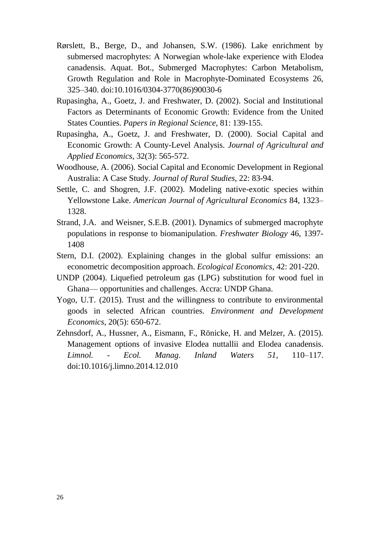- Rørslett, B., Berge, D., and Johansen, S.W. (1986). Lake enrichment by submersed macrophytes: A Norwegian whole-lake experience with Elodea canadensis. Aquat. Bot., Submerged Macrophytes: Carbon Metabolism, Growth Regulation and Role in Macrophyte-Dominated Ecosystems 26, 325–340. doi:10.1016/0304-3770(86)90030-6
- Rupasingha, A., Goetz, J. and Freshwater, D. (2002). Social and Institutional Factors as Determinants of Economic Growth: Evidence from the United States Counties. *Papers in Regional Science*, 81: 139-155.
- Rupasingha, A., Goetz, J. and Freshwater, D. (2000). Social Capital and Economic Growth: A County-Level Analysis. *Journal of Agricultural and Applied Economics*, 32(3): 565-572.
- Woodhouse, A. (2006). Social Capital and Economic Development in Regional Australia: A Case Study. *Journal of Rural Studies*, 22: 83-94.
- Settle, C. and Shogren, J.F. (2002). Modeling native-exotic species within Yellowstone Lake. *American Journal of Agricultural Economics* 84, 1323– 1328.
- Strand, J.A. and Weisner, S.E.B. (2001). Dynamics of submerged macrophyte populations in response to biomanipulation. *Freshwater Biology* 46, 1397- 1408
- Stern, D.I. (2002). Explaining changes in the global sulfur emissions: an econometric decomposition approach. *Ecological Economics*, 42: 201-220.
- UNDP (2004). Liquefied petroleum gas (LPG) substitution for wood fuel in Ghana— opportunities and challenges. Accra: UNDP Ghana.
- Yogo, U.T. (2015). Trust and the willingness to contribute to environmental goods in selected African countries. *Environment and Development Economics*, 20(5): 650-672.
- Zehnsdorf, A., Hussner, A., Eismann, F., Rönicke, H. and Melzer, A. (2015). Management options of invasive Elodea nuttallii and Elodea canadensis. *Limnol. - Ecol. Manag. Inland Waters 51*, 110–117. doi:10.1016/j.limno.2014.12.010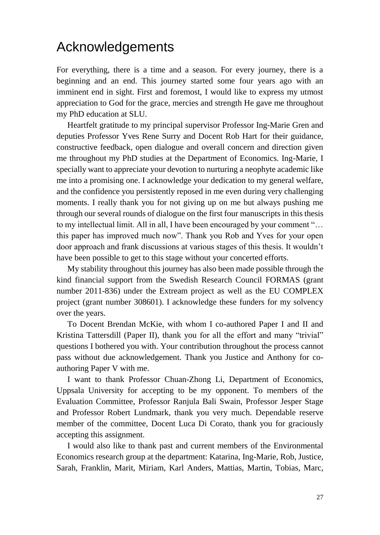## <span id="page-26-0"></span>Acknowledgements

For everything, there is a time and a season. For every journey, there is a beginning and an end. This journey started some four years ago with an imminent end in sight. First and foremost, I would like to express my utmost appreciation to God for the grace, mercies and strength He gave me throughout my PhD education at SLU.

Heartfelt gratitude to my principal supervisor Professor Ing-Marie Gren and deputies Professor Yves Rene Surry and Docent Rob Hart for their guidance, constructive feedback, open dialogue and overall concern and direction given me throughout my PhD studies at the Department of Economics. Ing-Marie, I specially want to appreciate your devotion to nurturing a neophyte academic like me into a promising one. I acknowledge your dedication to my general welfare, and the confidence you persistently reposed in me even during very challenging moments. I really thank you for not giving up on me but always pushing me through our several rounds of dialogue on the first four manuscripts in this thesis to my intellectual limit. All in all, I have been encouraged by your comment "… this paper has improved much now". Thank you Rob and Yves for your open door approach and frank discussions at various stages of this thesis. It wouldn't have been possible to get to this stage without your concerted efforts.

My stability throughout this journey has also been made possible through the kind financial support from the Swedish Research Council FORMAS (grant number 2011-836) under the Extream project as well as the EU COMPLEX project (grant number 308601). I acknowledge these funders for my solvency over the years.

To Docent Brendan McKie, with whom I co-authored Paper I and II and Kristina Tattersdill (Paper II), thank you for all the effort and many "trivial" questions I bothered you with. Your contribution throughout the process cannot pass without due acknowledgement. Thank you Justice and Anthony for coauthoring Paper V with me.

I want to thank Professor Chuan-Zhong Li, Department of Economics, Uppsala University for accepting to be my opponent. To members of the Evaluation Committee, Professor Ranjula Bali Swain, Professor Jesper Stage and Professor Robert Lundmark, thank you very much. Dependable reserve member of the committee, Docent Luca Di Corato, thank you for graciously accepting this assignment.

I would also like to thank past and current members of the Environmental Economics research group at the department: Katarina, Ing-Marie, Rob, Justice, Sarah, Franklin, Marit, Miriam, Karl Anders, Mattias, Martin, Tobias, Marc,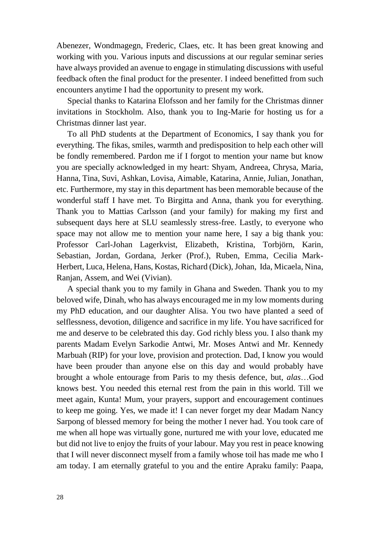Abenezer, Wondmagegn, Frederic, Claes, etc. It has been great knowing and working with you. Various inputs and discussions at our regular seminar series have always provided an avenue to engage in stimulating discussions with useful feedback often the final product for the presenter. I indeed benefitted from such encounters anytime I had the opportunity to present my work.

Special thanks to Katarina Elofsson and her family for the Christmas dinner invitations in Stockholm. Also, thank you to Ing-Marie for hosting us for a Christmas dinner last year.

To all PhD students at the Department of Economics, I say thank you for everything. The fikas, smiles, warmth and predisposition to help each other will be fondly remembered. Pardon me if I forgot to mention your name but know you are specially acknowledged in my heart: Shyam, Andreea, Chrysa, Maria, Hanna, Tina, Suvi, Ashkan, Lovisa, Aimable, Katarina, Annie, Julian, Jonathan, etc. Furthermore, my stay in this department has been memorable because of the wonderful staff I have met. To Birgitta and Anna, thank you for everything. Thank you to Mattias Carlsson (and your family) for making my first and subsequent days here at SLU seamlessly stress-free. Lastly, to everyone who space may not allow me to mention your name here, I say a big thank you: Professor Carl-Johan Lagerkvist, Elizabeth, Kristina, Torbjörn, Karin, Sebastian, Jordan, Gordana, Jerker (Prof.), Ruben, Emma, Cecilia Mark-Herbert, Luca, Helena, Hans, Kostas, Richard (Dick), Johan, Ida, Micaela, Nina, Ranjan, Assem, and Wei (Vivian).

A special thank you to my family in Ghana and Sweden. Thank you to my beloved wife, Dinah, who has always encouraged me in my low moments during my PhD education, and our daughter Alisa. You two have planted a seed of selflessness, devotion, diligence and sacrifice in my life. You have sacrificed for me and deserve to be celebrated this day. God richly bless you. I also thank my parents Madam Evelyn Sarkodie Antwi, Mr. Moses Antwi and Mr. Kennedy Marbuah (RIP) for your love, provision and protection. Dad, I know you would have been prouder than anyone else on this day and would probably have brought a whole entourage from Paris to my thesis defence, but, *alas*…God knows best. You needed this eternal rest from the pain in this world. Till we meet again, Kunta! Mum, your prayers, support and encouragement continues to keep me going. Yes, we made it! I can never forget my dear Madam Nancy Sarpong of blessed memory for being the mother I never had. You took care of me when all hope was virtually gone, nurtured me with your love, educated me but did not live to enjoy the fruits of your labour. May you rest in peace knowing that I will never disconnect myself from a family whose toil has made me who I am today. I am eternally grateful to you and the entire Apraku family: Paapa,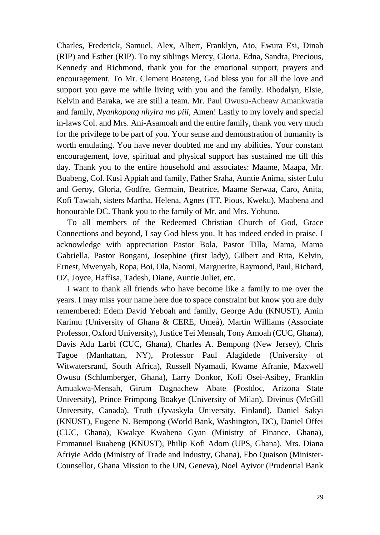Charles, Frederick, Samuel, Alex, Albert, Franklyn, Ato, Ewura Esi, Dinah (RIP) and Esther (RIP). To my siblings Mercy, Gloria, Edna, Sandra, Precious, Kennedy and Richmond, thank you for the emotional support, prayers and encouragement. To Mr. Clement Boateng, God bless you for all the love and support you gave me while living with you and the family. Rhodalyn, Elsie, Kelvin and Baraka, we are still a team. Mr. Paul Owusu-Acheaw Amankwatia and family, *Nyankopong nhyira mo piii*, Amen! Lastly to my lovely and special in-laws Col. and Mrs. Ani-Asamoah and the entire family, thank you very much for the privilege to be part of you. Your sense and demonstration of humanity is worth emulating. You have never doubted me and my abilities. Your constant encouragement, love, spiritual and physical support has sustained me till this day. Thank you to the entire household and associates: Maame, Maapa, Mr. Buabeng, Col. Kusi Appiah and family, Father Sraha, Auntie Anima, sister Lulu and Geroy, Gloria, Godfre, Germain, Beatrice, Maame Serwaa, Caro, Anita, Kofi Tawiah, sisters Martha, Helena, Agnes (TT, Pious, Kweku), Maabena and honourable DC. Thank you to the family of Mr. and Mrs. Yohuno.

To all members of the Redeemed Christian Church of God, Grace Connections and beyond, I say God bless you. It has indeed ended in praise. I acknowledge with appreciation Pastor Bola, Pastor Tilla, Mama, Mama Gabriella, Pastor Bongani, Josephine (first lady), Gilbert and Rita, Kelvin, Ernest, Mwenyah, Ropa, Boi, Ola, Naomi, Marguerite, Raymond, Paul, Richard, OZ, Joyce, Haffisa, Tadesh, Diane, Auntie Juliet, etc.

I want to thank all friends who have become like a family to me over the years. I may miss your name here due to space constraint but know you are duly remembered: Edem David Yeboah and family, George Adu (KNUST), Amin Karimu (University of Ghana & CERE, Umeå), Martin Williams (Associate Professor, Oxford University), Justice Tei Mensah, Tony Amoah (CUC, Ghana), Davis Adu Larbi (CUC, Ghana), Charles A. Bempong (New Jersey), Chris Tagoe (Manhattan, NY), Professor Paul Alagidede (University of Witwatersrand, South Africa), Russell Nyamadi, Kwame Afranie, Maxwell Owusu (Schlumberger, Ghana), Larry Donkor, Kofi Osei-Asibey, Franklin Amuakwa-Mensah, Girum Dagnachew Abate (Postdoc, Arizona State University), Prince Frimpong Boakye (University of Milan), Divinus (McGill University, Canada), Truth (Jyvaskyla University, Finland), Daniel Sakyi (KNUST), Eugene N. Bempong (World Bank, Washington, DC), Daniel Offei (CUC, Ghana), Kwakye Kwabena Gyan (Ministry of Finance, Ghana), Emmanuel Buabeng (KNUST), Philip Kofi Adom (UPS, Ghana), Mrs. Diana Afriyie Addo (Ministry of Trade and Industry, Ghana), Ebo Quaison (Minister-Counsellor, Ghana Mission to the UN, Geneva), Noel Ayivor (Prudential Bank